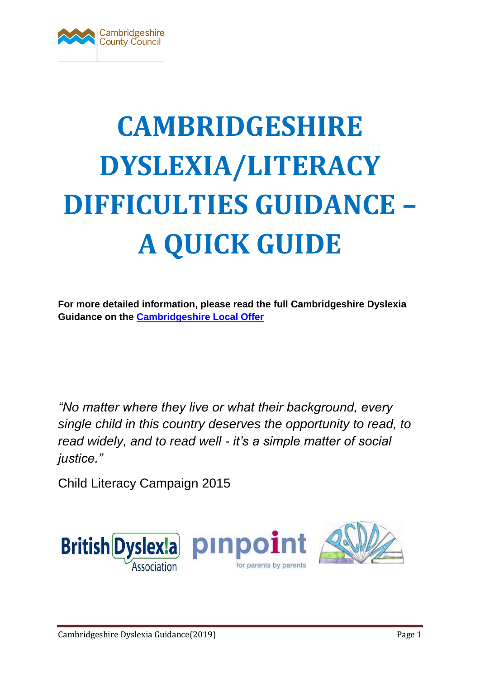

# **CAMBRIDGESHIRE DYSLEXIA/LITERACY DIFFICULTIES GUIDANCE – A QUICK GUIDE**

**For more detailed information, please read the full Cambridgeshire Dyslexia Guidance on the [Cambridgeshire Local Offer](https://ccc-live.storage.googleapis.com/upload/www.cambridgeshire.gov.uk/residents/children-and-families/CAMBRIDGESHIRE%20DYSLEXIA%20GUIDANCE%20FEBRUARY%202019.pdf?inline=true)**

*"No matter where they live or what their background, every single child in this country deserves the opportunity to read, to read widely, and to read well - it's a simple matter of social justice."*

Child Literacy Campaign 2015

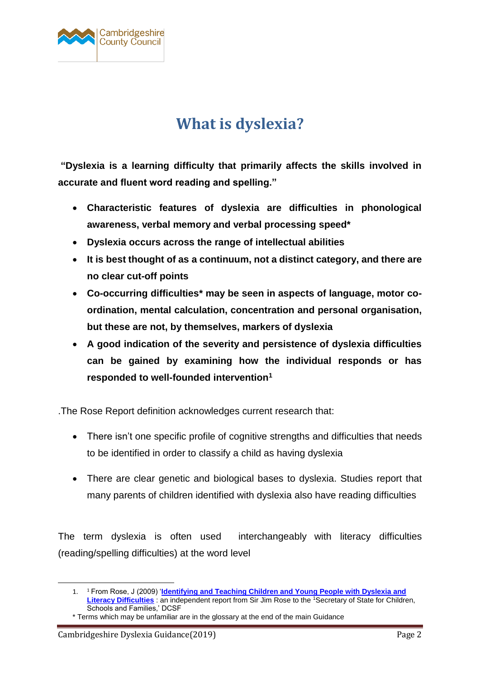

## **What is dyslexia?**

**"Dyslexia is a learning difficulty that primarily affects the skills involved in accurate and fluent word reading and spelling."**

- **Characteristic features of dyslexia are difficulties in phonological awareness, verbal memory and verbal processing speed\***
- **Dyslexia occurs across the range of intellectual abilities**
- **It is best thought of as a continuum, not a distinct category, and there are no clear cut-off points**
- **Co-occurring difficulties\* may be seen in aspects of language, motor coordination, mental calculation, concentration and personal organisation, but these are not, by themselves, markers of dyslexia**
- **A good indication of the severity and persistence of dyslexia difficulties can be gained by examining how the individual responds or has responded to well-founded intervention<sup>1</sup>**

.The Rose Report definition acknowledges current research that:

- There isn't one specific profile of cognitive strengths and difficulties that needs to be identified in order to classify a child as having dyslexia
- There are clear genetic and biological bases to dyslexia. Studies report that many parents of children identified with dyslexia also have reading difficulties

The term dyslexia is often used interchangeably with literacy difficulties (reading/spelling difficulties) at the word level

1

<sup>1.</sup> <sup>1</sup> From Rose, J (2009) '**[Identifying and Teaching Children and Young People with Dyslexia and](http://webarchive.nationalarchives.gov.uk/20130401151715/http:/www.education.gov.uk/publications/eOrderingDownload/00659-2009DOM-EN.pdf)  [Literacy Difficulties](http://webarchive.nationalarchives.gov.uk/20130401151715/http:/www.education.gov.uk/publications/eOrderingDownload/00659-2009DOM-EN.pdf)** : an independent report from Sir Jim Rose to the <sup>1</sup>Secretary of State for Children, Schools and Families,' DCSF

<sup>\*</sup> Terms which may be unfamiliar are in the glossary at the end of the main Guidance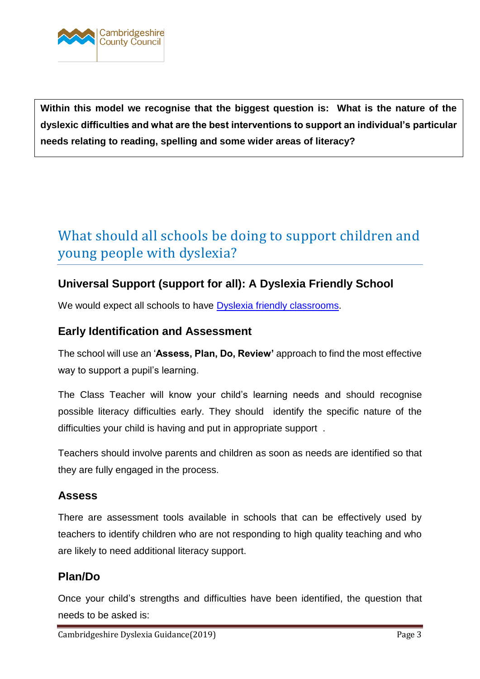

 **Within this model we recognise that the biggest question is: What is the nature of the dyslexic difficulties and what are the best interventions to support an individual's particular needs relating to reading, spelling and some wider areas of literacy?**

## What should all schools be doing to support children and young people with dyslexia?

## **Universal Support (support for all): A Dyslexia Friendly School**

We would expect all schools to have **Dyslexia friendly classrooms**.

## **Early Identification and Assessment**

The school will use an '**Assess, Plan, Do, Review'** approach to find the most effective way to support a pupil's learning.

The Class Teacher will know your child's learning needs and should recognise possible literacy difficulties early. They should identify the specific nature of the difficulties your child is having and put in appropriate support .

Teachers should involve parents and children as soon as needs are identified so that they are fully engaged in the process.

## **Assess**

There are assessment tools available in schools that can be effectively used by teachers to identify children who are not responding to high quality teaching and who are likely to need additional literacy support.

## **Plan/Do**

Once your child's strengths and difficulties have been identified, the question that needs to be asked is: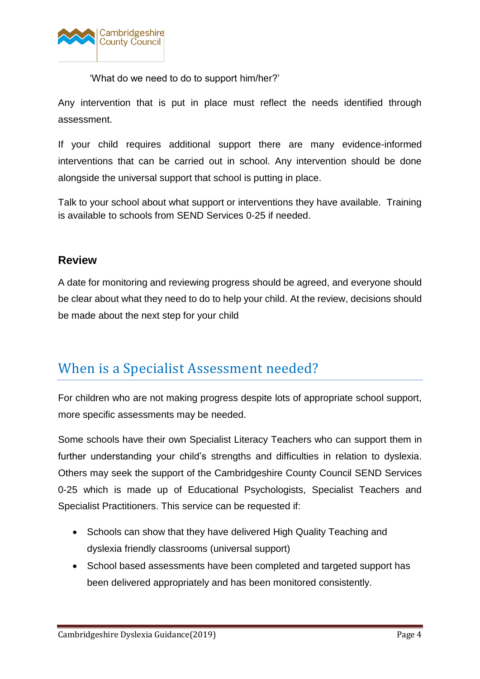

'What do we need to do to support him/her?'

Any intervention that is put in place must reflect the needs identified through assessment.

If your child requires additional support there are many evidence-informed interventions that can be carried out in school. Any intervention should be done alongside the universal support that school is putting in place.

Talk to your school about what support or interventions they have available. Training is available to schools from SEND Services 0-25 if needed.

## **Review**

A date for monitoring and reviewing progress should be agreed, and everyone should be clear about what they need to do to help your child. At the review, decisions should be made about the next step for your child

## When is a Specialist Assessment needed?

For children who are not making progress despite lots of appropriate school support, more specific assessments may be needed.

Some schools have their own Specialist Literacy Teachers who can support them in further understanding your child's strengths and difficulties in relation to dyslexia. Others may seek the support of the Cambridgeshire County Council SEND Services 0-25 which is made up of Educational Psychologists, Specialist Teachers and Specialist Practitioners. This service can be requested if:

- Schools can show that they have delivered High Quality Teaching and dyslexia friendly classrooms (universal support)
- School based assessments have been completed and targeted support has been delivered appropriately and has been monitored consistently.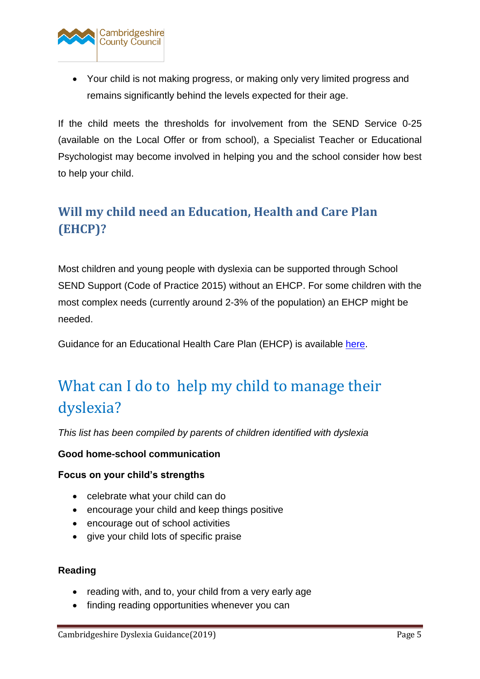

 Your child is not making progress, or making only very limited progress and remains significantly behind the levels expected for their age.

If the child meets the thresholds for involvement from the SEND Service 0-25 (available on the Local Offer or from school), a Specialist Teacher or Educational Psychologist may become involved in helping you and the school consider how best to help your child.

## **Will my child need an Education, Health and Care Plan (EHCP)?**

Most children and young people with dyslexia can be supported through School SEND Support (Code of Practice 2015) without an EHCP. For some children with the most complex needs (currently around 2-3% of the population) an EHCP might be needed.

Guidance for an Educational Health Care Plan (EHCP) is available [here.](http://www.cambridgeshire.gov.uk/ehcplan)

## What can I do to help my child to manage their dyslexia?

*This list has been compiled by parents of children identified with dyslexia* 

### **Good home-school communication**

### **Focus on your child's strengths**

- celebrate what your child can do
- encourage your child and keep things positive
- encourage out of school activities
- give your child lots of specific praise

#### **Reading**

- reading with, and to, your child from a very early age
- finding reading opportunities whenever you can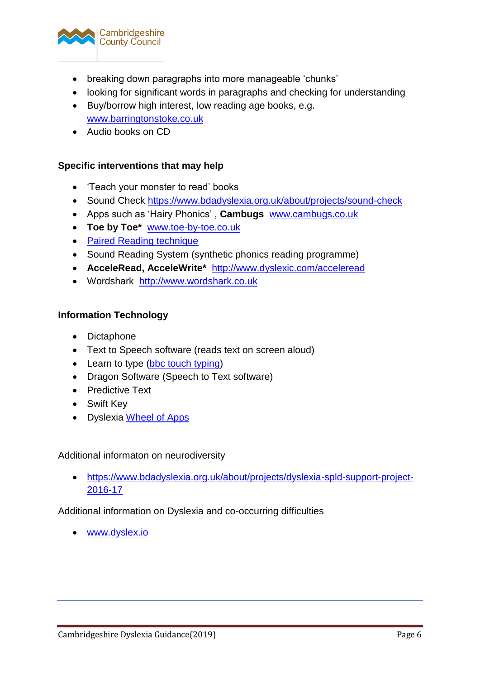

- breaking down paragraphs into more manageable 'chunks'
- looking for significant words in paragraphs and checking for understanding
- Buy/borrow high interest, low reading age books, e.g. [www.barringtonstoke.co.uk](http://www.barringtonstoke.co.uk/)
- Audio books on CD

#### **Specific interventions that may help**

- 'Teach your monster to read' books
- Sound Check<https://www.bdadyslexia.org.uk/about/projects/sound-check>
- Apps such as 'Hairy Phonics' , **Cambugs** [www.cambugs.co.uk](http://www.cambugs.co.uk/)
- **Toe by Toe\*** [www.toe-by-toe.co.uk](http://www.toe-by-toe.co.uk/)
- [Paired Reading technique](https://www.youtube.com/watch?v=rR8LWdDEZkY)
- Sound Reading System (synthetic phonics reading programme)
- **AcceleRead, AcceleWrite\*** <http://www.dyslexic.com/acceleread>
- Wordshark [http://www.wordshark.co.uk](http://www.wordshark.co.uk/)

#### **Information Technology**

- Dictaphone
- Text to Speech software (reads text on screen aloud)
- Learn to type [\(bbc touch typing\)](http://www.bbc.co.uk/guides/z3c6tfr)
- Dragon Software (Speech to Text software)
- Predictive Text
- Swift Key
- Dyslexia [Wheel of Apps](http://www.callscotland.org.uk/Common-Assets/ckfinder/userfiles/files/Wheel_0f_Apps_V1_0.pdf)

Additional informaton on neurodiversity

 [https://www.bdadyslexia.org.uk/about/projects/dyslexia-spld-support-project-](https://www.bdadyslexia.org.uk/about/projects/dyslexia-spld-support-project-2016-17)[2016-17](https://www.bdadyslexia.org.uk/about/projects/dyslexia-spld-support-project-2016-17)

Additional information on Dyslexia and co-occurring difficulties

[www.dyslex.io](http://www.dyslex.io/)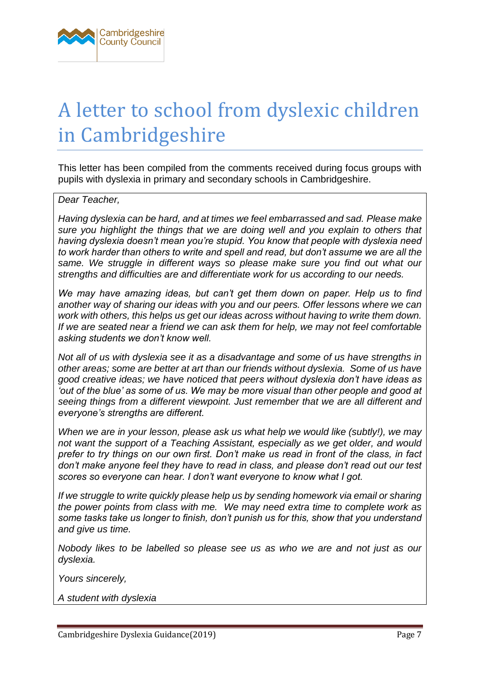

## A letter to school from dyslexic children in Cambridgeshire

This letter has been compiled from the comments received during focus groups with pupils with dyslexia in primary and secondary schools in Cambridgeshire.

#### *Dear Teacher,*

*Having dyslexia can be hard, and at times we feel embarrassed and sad. Please make sure you highlight the things that we are doing well and you explain to others that having dyslexia doesn't mean you're stupid. You know that people with dyslexia need to work harder than others to write and spell and read, but don't assume we are all the same. We struggle in different ways so please make sure you find out what our strengths and difficulties are and differentiate work for us according to our needs.* 

*We may have amazing ideas, but can't get them down on paper. Help us to find another way of sharing our ideas with you and our peers. Offer lessons where we can work with others, this helps us get our ideas across without having to write them down. If we are seated near a friend we can ask them for help, we may not feel comfortable asking students we don't know well.*

*Not all of us with dyslexia see it as a disadvantage and some of us have strengths in other areas; some are better at art than our friends without dyslexia. Some of us have good creative ideas; we have noticed that peers without dyslexia don't have ideas as 'out of the blue' as some of us. We may be more visual than other people and good at seeing things from a different viewpoint. Just remember that we are all different and everyone's strengths are different.*

*When we are in your lesson, please ask us what help we would like (subtly!), we may not want the support of a Teaching Assistant, especially as we get older, and would prefer to try things on our own first. Don't make us read in front of the class, in fact don't make anyone feel they have to read in class, and please don't read out our test scores so everyone can hear. I don't want everyone to know what I got.*

*If we struggle to write quickly please help us by sending homework via email or sharing the power points from class with me. We may need extra time to complete work as some tasks take us longer to finish, don't punish us for this, show that you understand and give us time.* 

*Nobody likes to be labelled so please see us as who we are and not just as our dyslexia.*

*Yours sincerely,*

*A student with dyslexia*